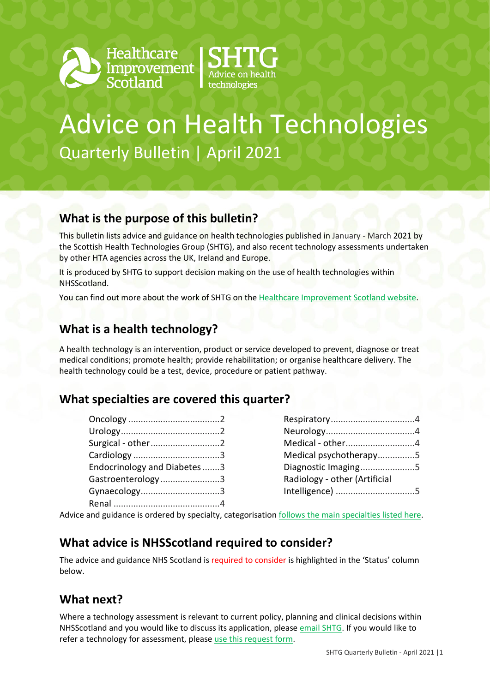



# Advice on Health Technologies Quarterly Bulletin | April 2021

### **What is the purpose of this bulletin?**

This bulletin lists advice and guidance on health technologies published in January - March 2021 by the Scottish Health Technologies Group (SHTG), and also recent technology assessments undertaken by other HTA agencies across the UK, Ireland and Europe.

It is produced by SHTG to support decision making on the use of health technologies within NHSScotland.

You can find out more about the work of SHTG on th[e Healthcare Improvement Scotland website.](http://www.healthcareimprovementscotland.org/our_work/technologies_and_medicines/shtg.aspx)

### **What is a health technology?**

A health technology is an intervention, product or service developed to prevent, diagnose or treat medical conditions; promote health; provide rehabilitation; or organise healthcare delivery. The health technology could be a test, device, procedure or patient pathway.

### **What specialties are covered this quarter?**

| Surgical - other2           |  |
|-----------------------------|--|
|                             |  |
| Endocrinology and Diabetes3 |  |
| Gastroenterology3           |  |
| Gynaecology3                |  |
|                             |  |

| Medical - other4              |  |
|-------------------------------|--|
| Medical psychotherapy5        |  |
| Diagnostic Imaging5           |  |
| Radiology - other (Artificial |  |
| Intelligence) 5               |  |
|                               |  |

Advice and guidance is ordered by specialty, categorisatio[n follows the main specialties listed here.](https://www.datadictionary.nhs.uk/web_site_content/supporting_information/main_specialty_and_treatment_function_codes_table.asp)

### **What advice is NHSScotland required to consider?**

The advice and guidance NHS Scotland is required to consider is highlighted in the 'Status' column below.

### **What next?**

Where a technology assessment is relevant to current policy, planning and clinical decisions within NHSScotland and you would like to discuss its application, please [email SHTG.](mailto:his.shtg@nhs.scot) If you would like to refer a technology for assessment, please [use this request form.](http://www.healthcareimprovementscotland.org/idoc.ashx?docid=5e383653-8f96-4541-983c-7e411b487455&version=-1)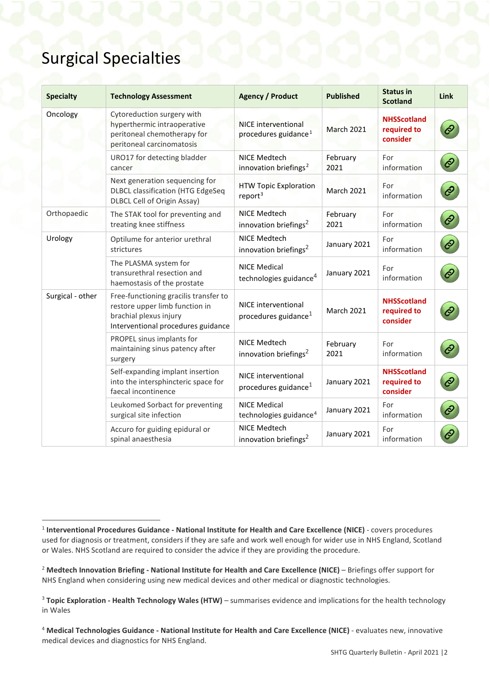### Surgical Specialties

<span id="page-1-6"></span><span id="page-1-5"></span>

| <b>Specialty</b> | <b>Technology Assessment</b>                                                                                                            | <b>Agency / Product</b>                                        | <b>Published</b>  | <b>Status in</b><br><b>Scotland</b>           | Link                |
|------------------|-----------------------------------------------------------------------------------------------------------------------------------------|----------------------------------------------------------------|-------------------|-----------------------------------------------|---------------------|
| Oncology         | Cytoreduction surgery with<br>hyperthermic intraoperative<br>peritoneal chemotherapy for<br>peritoneal carcinomatosis                   | <b>NICE interventional</b><br>procedures guidance <sup>1</sup> | <b>March 2021</b> | <b>NHSScotland</b><br>required to<br>consider | $\mathcal{C}$       |
|                  | URO17 for detecting bladder<br>cancer                                                                                                   | NICE Medtech<br>innovation briefings <sup>2</sup>              | February<br>2021  | For<br>information                            | $\mathcal{C}$       |
|                  | Next generation sequencing for<br><b>DLBCL classification (HTG EdgeSeq</b><br><b>DLBCL Cell of Origin Assay)</b>                        | <b>HTW Topic Exploration</b><br>report <sup>3</sup>            | <b>March 2021</b> | For<br>information                            | ê                   |
| Orthopaedic      | The STAK tool for preventing and<br>treating knee stiffness                                                                             | <b>NICE Medtech</b><br>innovation briefings <sup>2</sup>       | February<br>2021  | For<br>information                            | $\hat{\mathcal{C}}$ |
| Urology          | Optilume for anterior urethral<br>strictures                                                                                            | NICE Medtech<br>innovation briefings <sup>2</sup>              | January 2021      | For<br>information                            | $\mathcal{O}$       |
|                  | The PLASMA system for<br>transurethral resection and<br>haemostasis of the prostate                                                     | <b>NICE Medical</b><br>technologies guidance <sup>4</sup>      | January 2021      | For<br>information                            | $\dot{\mathcal{C}}$ |
| Surgical - other | Free-functioning gracilis transfer to<br>restore upper limb function in<br>brachial plexus injury<br>Interventional procedures guidance | NICE interventional<br>procedures guidance <sup>1</sup>        | <b>March 2021</b> | <b>NHSScotland</b><br>required to<br>consider |                     |
|                  | PROPEL sinus implants for<br>maintaining sinus patency after<br>surgery                                                                 | NICE Medtech<br>innovation briefings <sup>2</sup>              | February<br>2021  | For<br>information                            |                     |
|                  | Self-expanding implant insertion<br>into the intersphincteric space for<br>faecal incontinence                                          | <b>NICE</b> interventional<br>procedures guidance <sup>1</sup> | January 2021      | <b>NHSScotland</b><br>required to<br>consider | $\mathcal{C}$       |
|                  | Leukomed Sorbact for preventing<br>surgical site infection                                                                              | <b>NICE Medical</b><br>technologies guidance <sup>4</sup>      | January 2021      | For<br>information                            | $\hat{\mathcal{C}}$ |
|                  | Accuro for guiding epidural or<br>spinal anaesthesia                                                                                    | NICE Medtech<br>innovation briefings <sup>2</sup>              | January 2021      | For<br>information                            | Ô                   |

<span id="page-1-4"></span><span id="page-1-0"></span> <sup>1</sup> **Interventional Procedures Guidance - National Institute for Health and Care Excellence (NICE)** - covers procedures used for diagnosis or treatment, considers if they are safe and work well enough for wider use in NHS England, Scotland or Wales. NHS Scotland are required to consider the advice if they are providing the procedure.

<span id="page-1-1"></span><sup>&</sup>lt;sup>2</sup> Medtech Innovation Briefing - National Institute for Health and Care Excellence (NICE) – Briefings offer support for NHS England when considering using new medical devices and other medical or diagnostic technologies.

<span id="page-1-2"></span><sup>3</sup> **Topic Exploration - Health Technology Wales (HTW)** – summarises evidence and implications for the health technology in Wales

<span id="page-1-3"></span><sup>4</sup> **Medical Technologies Guidance - National Institute for Health and Care Excellence (NICE)** - evaluates new, innovative medical devices and diagnostics for NHS England.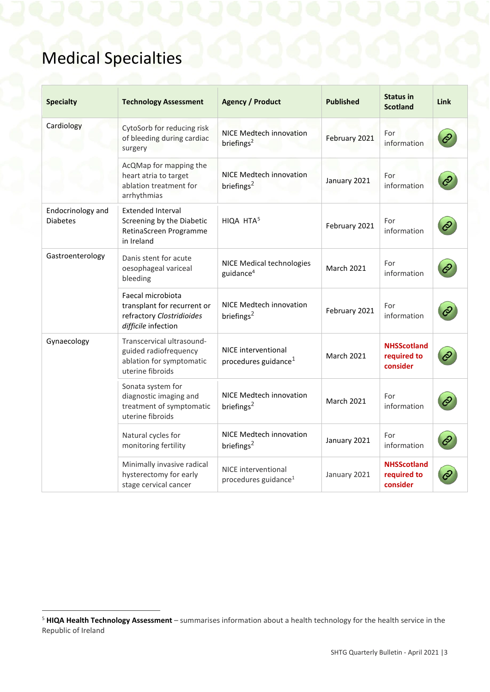# Medical Specialties

| <b>Specialty</b>                     | <b>Technology Assessment</b>                                                                         | <b>Agency / Product</b>                                  | <b>Published</b>  | <b>Status in</b><br><b>Scotland</b>           | <b>Link</b> |
|--------------------------------------|------------------------------------------------------------------------------------------------------|----------------------------------------------------------|-------------------|-----------------------------------------------|-------------|
| Cardiology                           | CytoSorb for reducing risk<br>of bleeding during cardiac<br>surgery                                  | NICE Medtech innovation<br>briefings <sup>2</sup>        | February 2021     | For<br>information                            |             |
|                                      | AcQMap for mapping the<br>heart atria to target<br>ablation treatment for<br>arrhythmias             | <b>NICE Medtech innovation</b><br>briefings <sup>2</sup> | January 2021      | For<br>information                            |             |
| Endocrinology and<br><b>Diabetes</b> | <b>Extended Interval</b><br>Screening by the Diabetic<br>RetinaScreen Programme<br>in Ireland        | HIQA HTA <sup>5</sup>                                    | February 2021     | For<br>information                            |             |
| Gastroenterology                     | Danis stent for acute<br>oesophageal variceal<br>bleeding                                            | NICE Medical technologies<br>guidance <sup>4</sup>       | <b>March 2021</b> | For<br>information                            |             |
|                                      | Faecal microbiota<br>transplant for recurrent or<br>refractory Clostridioides<br>difficile infection | NICE Medtech innovation<br>briefings <sup>2</sup>        | February 2021     | For<br>information                            |             |
| Gynaecology                          | Transcervical ultrasound-<br>guided radiofrequency<br>ablation for symptomatic<br>uterine fibroids   | NICE interventional<br>procedures guidance $1$           | <b>March 2021</b> | <b>NHSScotland</b><br>required to<br>consider |             |
|                                      | Sonata system for<br>diagnostic imaging and<br>treatment of symptomatic<br>uterine fibroids          | NICE Medtech innovation<br>briefings $^2$                | <b>March 2021</b> | For<br>information                            |             |
|                                      | Natural cycles for<br>monitoring fertility                                                           | NICE Medtech innovation<br>briefings <sup>2</sup>        | January 2021      | For<br>information                            |             |
|                                      | Minimally invasive radical<br>hysterectomy for early<br>stage cervical cancer                        | NICE interventional<br>procedures guidance <sup>1</sup>  | January 2021      | <b>NHSScotland</b><br>required to<br>consider |             |

<span id="page-2-0"></span> <sup>5</sup> **HIQA Health Technology Assessment** – summarises information about a health technology for the health service in the Republic of Ireland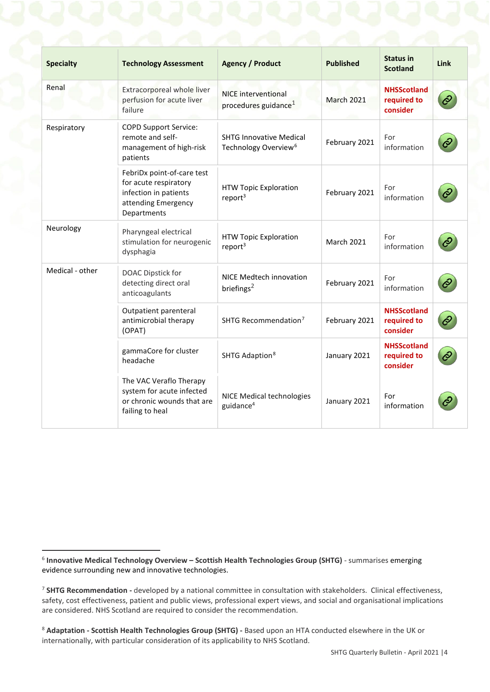| <b>Specialty</b> | <b>Technology Assessment</b>                                                                                       | <b>Agency / Product</b>                                            | <b>Published</b>  | <b>Status in</b><br><b>Scotland</b>           | <b>Link</b> |
|------------------|--------------------------------------------------------------------------------------------------------------------|--------------------------------------------------------------------|-------------------|-----------------------------------------------|-------------|
| Renal            | Extracorporeal whole liver<br>perfusion for acute liver<br>failure                                                 | <b>NICE</b> interventional<br>procedures guidance <sup>1</sup>     | <b>March 2021</b> | <b>NHSScotland</b><br>required to<br>consider |             |
| Respiratory      | <b>COPD Support Service:</b><br>remote and self-<br>management of high-risk<br>patients                            | <b>SHTG Innovative Medical</b><br>Technology Overview <sup>6</sup> | February 2021     | For<br>information                            |             |
|                  | FebriDx point-of-care test<br>for acute respiratory<br>infection in patients<br>attending Emergency<br>Departments | <b>HTW Topic Exploration</b><br>report <sup>3</sup>                | February 2021     | For<br>information                            |             |
| Neurology        | Pharyngeal electrical<br>stimulation for neurogenic<br>dysphagia                                                   | <b>HTW Topic Exploration</b><br>report <sup>3</sup>                | <b>March 2021</b> | For<br>information                            |             |
| Medical - other  | DOAC Dipstick for<br>detecting direct oral<br>anticoagulants                                                       | NICE Medtech innovation<br>briefings <sup>2</sup>                  | February 2021     | For<br>information                            |             |
|                  | Outpatient parenteral<br>antimicrobial therapy<br>(OPAT)                                                           | SHTG Recommendation <sup>7</sup>                                   | February 2021     | <b>NHSScotland</b><br>required to<br>consider |             |
|                  | gammaCore for cluster<br>headache                                                                                  | SHTG Adaption <sup>8</sup>                                         | January 2021      | <b>NHSScotland</b><br>required to<br>consider |             |
|                  | The VAC Veraflo Therapy<br>system for acute infected<br>or chronic wounds that are<br>failing to heal              | NICE Medical technologies<br>guidance <sup>4</sup>                 | January 2021      | For<br>information                            |             |

<span id="page-3-0"></span> <sup>6</sup> **Innovative Medical Technology Overview – Scottish Health Technologies Group (SHTG)** - summarises emerging evidence surrounding new and innovative technologies.

<span id="page-3-1"></span><sup>7</sup> **SHTG Recommendation -** developed by a national committee in consultation with stakeholders. Clinical effectiveness, safety, cost effectiveness, patient and public views, professional expert views, and social and organisational implications are considered. NHS Scotland are required to consider the recommendation.

<span id="page-3-2"></span><sup>8</sup> **Adaptation - Scottish Health Technologies Group (SHTG) -** Based upon an HTA conducted elsewhere in the UK or internationally, with particular consideration of its applicability to NHS Scotland.